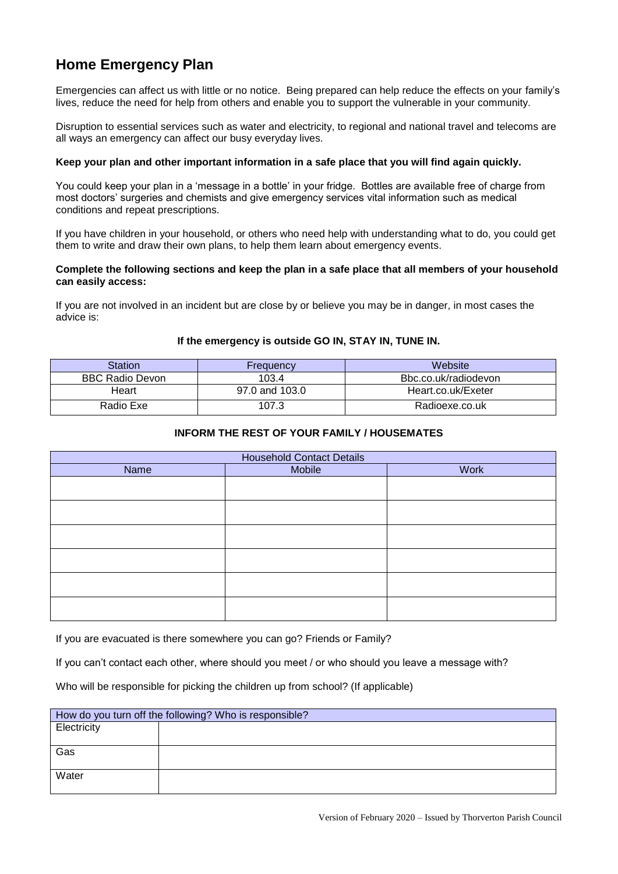# **Home Emergency Plan**

Emergencies can affect us with little or no notice. Being prepared can help reduce the effects on your family's lives, reduce the need for help from others and enable you to support the vulnerable in your community.

Disruption to essential services such as water and electricity, to regional and national travel and telecoms are all ways an emergency can affect our busy everyday lives.

### **Keep your plan and other important information in a safe place that you will find again quickly.**

You could keep your plan in a 'message in a bottle' in your fridge. Bottles are available free of charge from most doctors' surgeries and chemists and give emergency services vital information such as medical conditions and repeat prescriptions.

If you have children in your household, or others who need help with understanding what to do, you could get them to write and draw their own plans, to help them learn about emergency events.

### **Complete the following sections and keep the plan in a safe place that all members of your household can easily access:**

If you are not involved in an incident but are close by or believe you may be in danger, in most cases the advice is:

## **If the emergency is outside GO IN, STAY IN, TUNE IN.**

| Station         | Frequency      | Website              |
|-----------------|----------------|----------------------|
| BBC Radio Devon | 103.4          | Bbc.co.uk/radiodevon |
| Heart           | 97.0 and 103.0 | Heart.co.uk/Exeter   |
| Radio Exe       | 107.3          | Radioexe.co.uk       |

## **INFORM THE REST OF YOUR FAMILY / HOUSEMATES**

| <b>Household Contact Details</b> |        |      |
|----------------------------------|--------|------|
| Name                             | Mobile | Work |
|                                  |        |      |
|                                  |        |      |
|                                  |        |      |
|                                  |        |      |
|                                  |        |      |
|                                  |        |      |

If you are evacuated is there somewhere you can go? Friends or Family?

If you can't contact each other, where should you meet / or who should you leave a message with?

Who will be responsible for picking the children up from school? (If applicable)

| How do you turn off the following? Who is responsible? |  |  |
|--------------------------------------------------------|--|--|
| Electricity                                            |  |  |
|                                                        |  |  |
| Gas                                                    |  |  |
|                                                        |  |  |
| Water                                                  |  |  |
|                                                        |  |  |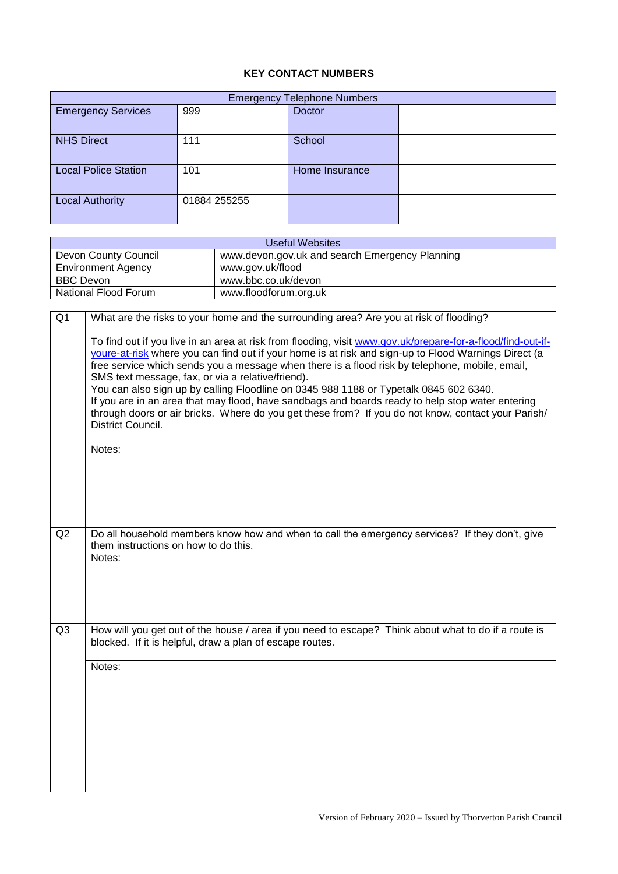# **KEY CONTACT NUMBERS**

| <b>Emergency Telephone Numbers</b> |              |                |  |
|------------------------------------|--------------|----------------|--|
| <b>Emergency Services</b>          | 999          | <b>Doctor</b>  |  |
| <b>NHS Direct</b>                  | 111          | School         |  |
| <b>Local Police Station</b>        | 101          | Home Insurance |  |
| <b>Local Authority</b>             | 01884 255255 |                |  |

| Useful Websites           |                                                |  |
|---------------------------|------------------------------------------------|--|
| Devon County Council      | www.devon.gov.uk and search Emergency Planning |  |
| <b>Environment Agency</b> | www.gov.uk/flood                               |  |
| <b>BBC Devon</b>          | www.bbc.co.uk/devon                            |  |
| National Flood Forum      | www.floodforum.org.uk                          |  |

| Q <sub>1</sub> | What are the risks to your home and the surrounding area? Are you at risk of flooding?                                                                                                                                                                                                                                                                                                                                                                                                                                                                                                                                                                                                             |
|----------------|----------------------------------------------------------------------------------------------------------------------------------------------------------------------------------------------------------------------------------------------------------------------------------------------------------------------------------------------------------------------------------------------------------------------------------------------------------------------------------------------------------------------------------------------------------------------------------------------------------------------------------------------------------------------------------------------------|
|                | To find out if you live in an area at risk from flooding, visit www.gov.uk/prepare-for-a-flood/find-out-if-<br>youre-at-risk where you can find out if your home is at risk and sign-up to Flood Warnings Direct (a<br>free service which sends you a message when there is a flood risk by telephone, mobile, email,<br>SMS text message, fax, or via a relative/friend).<br>You can also sign up by calling Floodline on 0345 988 1188 or Typetalk 0845 602 6340.<br>If you are in an area that may flood, have sandbags and boards ready to help stop water entering<br>through doors or air bricks. Where do you get these from? If you do not know, contact your Parish/<br>District Council. |
|                | Notes:                                                                                                                                                                                                                                                                                                                                                                                                                                                                                                                                                                                                                                                                                             |
|                |                                                                                                                                                                                                                                                                                                                                                                                                                                                                                                                                                                                                                                                                                                    |
|                |                                                                                                                                                                                                                                                                                                                                                                                                                                                                                                                                                                                                                                                                                                    |
| Q2             | Do all household members know how and when to call the emergency services? If they don't, give<br>them instructions on how to do this.                                                                                                                                                                                                                                                                                                                                                                                                                                                                                                                                                             |
|                | Notes:                                                                                                                                                                                                                                                                                                                                                                                                                                                                                                                                                                                                                                                                                             |
| Q <sub>3</sub> | How will you get out of the house / area if you need to escape? Think about what to do if a route is<br>blocked. If it is helpful, draw a plan of escape routes.                                                                                                                                                                                                                                                                                                                                                                                                                                                                                                                                   |
|                | Notes:                                                                                                                                                                                                                                                                                                                                                                                                                                                                                                                                                                                                                                                                                             |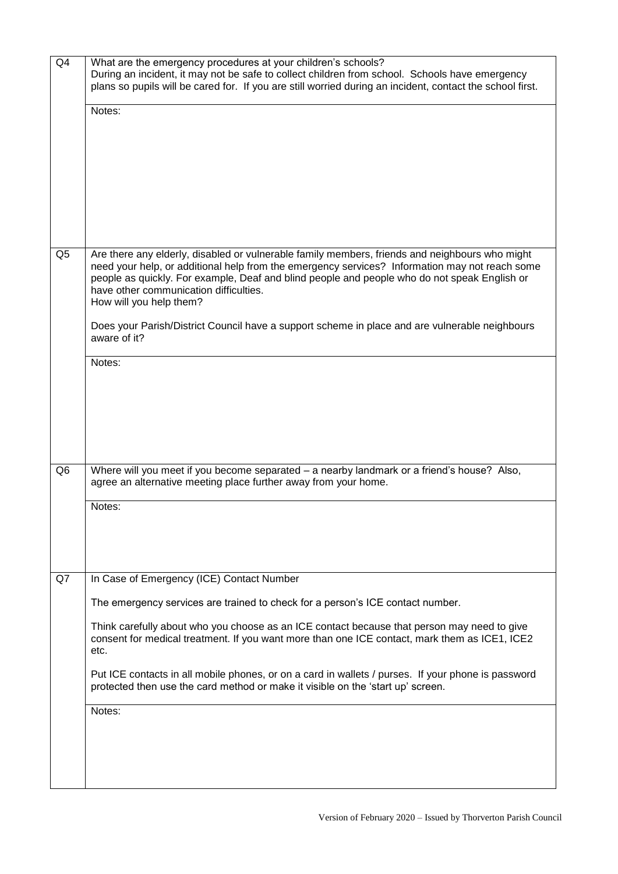| Q4             | What are the emergency procedures at your children's schools?<br>During an incident, it may not be safe to collect children from school. Schools have emergency<br>plans so pupils will be cared for. If you are still worried during an incident, contact the school first.<br>Notes:                                                                                                                                                                                                                                                 |
|----------------|----------------------------------------------------------------------------------------------------------------------------------------------------------------------------------------------------------------------------------------------------------------------------------------------------------------------------------------------------------------------------------------------------------------------------------------------------------------------------------------------------------------------------------------|
| Q <sub>5</sub> | Are there any elderly, disabled or vulnerable family members, friends and neighbours who might<br>need your help, or additional help from the emergency services? Information may not reach some<br>people as quickly. For example, Deaf and blind people and people who do not speak English or<br>have other communication difficulties.<br>How will you help them?<br>Does your Parish/District Council have a support scheme in place and are vulnerable neighbours<br>aware of it?<br>Notes:                                      |
| Q <sub>6</sub> | Where will you meet if you become separated - a nearby landmark or a friend's house? Also,<br>agree an alternative meeting place further away from your home.<br>Notes:                                                                                                                                                                                                                                                                                                                                                                |
| Q7             | In Case of Emergency (ICE) Contact Number<br>The emergency services are trained to check for a person's ICE contact number.<br>Think carefully about who you choose as an ICE contact because that person may need to give<br>consent for medical treatment. If you want more than one ICE contact, mark them as ICE1, ICE2<br>etc.<br>Put ICE contacts in all mobile phones, or on a card in wallets / purses. If your phone is password<br>protected then use the card method or make it visible on the 'start up' screen.<br>Notes: |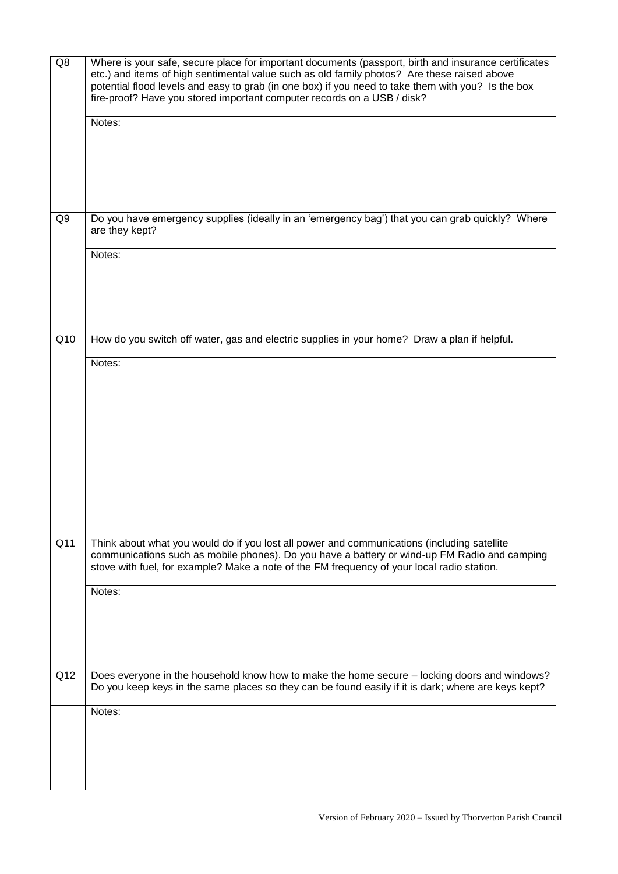| Q8             | Where is your safe, secure place for important documents (passport, birth and insurance certificates<br>etc.) and items of high sentimental value such as old family photos? Are these raised above<br>potential flood levels and easy to grab (in one box) if you need to take them with you? Is the box<br>fire-proof? Have you stored important computer records on a USB / disk? |
|----------------|--------------------------------------------------------------------------------------------------------------------------------------------------------------------------------------------------------------------------------------------------------------------------------------------------------------------------------------------------------------------------------------|
|                | Notes:                                                                                                                                                                                                                                                                                                                                                                               |
| Q <sub>9</sub> | Do you have emergency supplies (ideally in an 'emergency bag') that you can grab quickly? Where<br>are they kept?                                                                                                                                                                                                                                                                    |
|                | Notes:                                                                                                                                                                                                                                                                                                                                                                               |
| Q10            | How do you switch off water, gas and electric supplies in your home? Draw a plan if helpful.<br>Notes:                                                                                                                                                                                                                                                                               |
| Q11            |                                                                                                                                                                                                                                                                                                                                                                                      |
|                | Think about what you would do if you lost all power and communications (including satellite<br>communications such as mobile phones). Do you have a battery or wind-up FM Radio and camping<br>stove with fuel, for example? Make a note of the FM frequency of your local radio station.                                                                                            |
|                | Notes:                                                                                                                                                                                                                                                                                                                                                                               |
| Q12            | Does everyone in the household know how to make the home secure - locking doors and windows?<br>Do you keep keys in the same places so they can be found easily if it is dark; where are keys kept?                                                                                                                                                                                  |
|                | Notes:                                                                                                                                                                                                                                                                                                                                                                               |
|                |                                                                                                                                                                                                                                                                                                                                                                                      |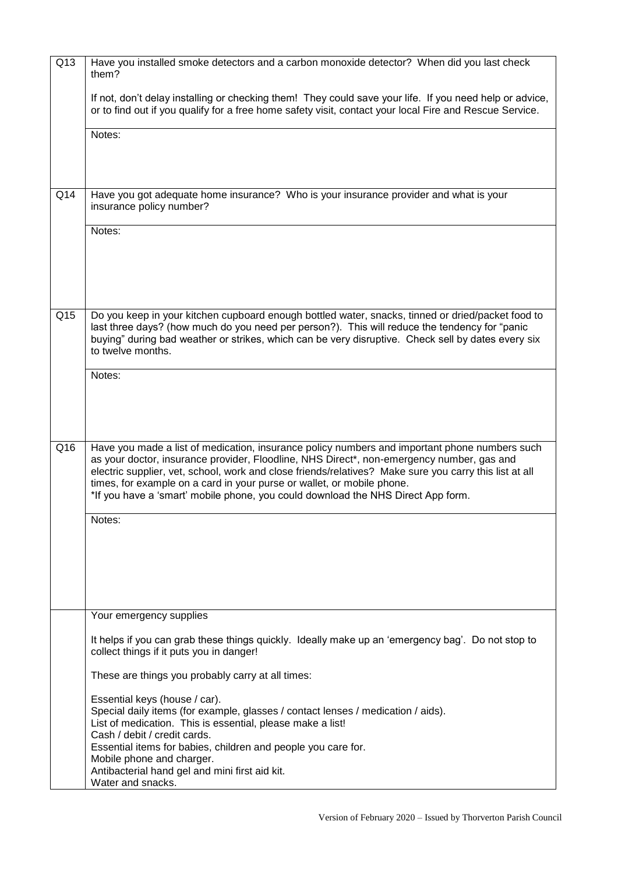| Q13 | Have you installed smoke detectors and a carbon monoxide detector? When did you last check<br>them?                                                                                                                                                                                                                                                                                                                                                                |
|-----|--------------------------------------------------------------------------------------------------------------------------------------------------------------------------------------------------------------------------------------------------------------------------------------------------------------------------------------------------------------------------------------------------------------------------------------------------------------------|
|     | If not, don't delay installing or checking them! They could save your life. If you need help or advice,<br>or to find out if you qualify for a free home safety visit, contact your local Fire and Rescue Service.                                                                                                                                                                                                                                                 |
|     | Notes:                                                                                                                                                                                                                                                                                                                                                                                                                                                             |
|     |                                                                                                                                                                                                                                                                                                                                                                                                                                                                    |
| Q14 | Have you got adequate home insurance? Who is your insurance provider and what is your<br>insurance policy number?                                                                                                                                                                                                                                                                                                                                                  |
|     | Notes:                                                                                                                                                                                                                                                                                                                                                                                                                                                             |
|     |                                                                                                                                                                                                                                                                                                                                                                                                                                                                    |
| Q15 | Do you keep in your kitchen cupboard enough bottled water, snacks, tinned or dried/packet food to<br>last three days? (how much do you need per person?). This will reduce the tendency for "panic<br>buying" during bad weather or strikes, which can be very disruptive. Check sell by dates every six<br>to twelve months.                                                                                                                                      |
|     | Notes:                                                                                                                                                                                                                                                                                                                                                                                                                                                             |
|     |                                                                                                                                                                                                                                                                                                                                                                                                                                                                    |
|     |                                                                                                                                                                                                                                                                                                                                                                                                                                                                    |
| Q16 | Have you made a list of medication, insurance policy numbers and important phone numbers such<br>as your doctor, insurance provider, Floodline, NHS Direct*, non-emergency number, gas and<br>electric supplier, vet, school, work and close friends/relatives? Make sure you carry this list at all<br>times, for example on a card in your purse or wallet, or mobile phone.<br>*If you have a 'smart' mobile phone, you could download the NHS Direct App form. |
|     | Notes:                                                                                                                                                                                                                                                                                                                                                                                                                                                             |
|     |                                                                                                                                                                                                                                                                                                                                                                                                                                                                    |
|     |                                                                                                                                                                                                                                                                                                                                                                                                                                                                    |
|     |                                                                                                                                                                                                                                                                                                                                                                                                                                                                    |
|     | Your emergency supplies                                                                                                                                                                                                                                                                                                                                                                                                                                            |
|     | It helps if you can grab these things quickly. Ideally make up an 'emergency bag'. Do not stop to<br>collect things if it puts you in danger!                                                                                                                                                                                                                                                                                                                      |
|     | These are things you probably carry at all times:                                                                                                                                                                                                                                                                                                                                                                                                                  |
|     | Essential keys (house / car).<br>Special daily items (for example, glasses / contact lenses / medication / aids).<br>List of medication. This is essential, please make a list!<br>Cash / debit / credit cards.<br>Essential items for babies, children and people you care for.                                                                                                                                                                                   |
|     | Mobile phone and charger.<br>Antibacterial hand gel and mini first aid kit.<br>Water and snacks.                                                                                                                                                                                                                                                                                                                                                                   |